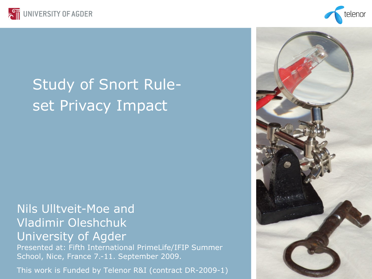



# Study of Snort Ruleset Privacy Impact

#### Nils Ulltveit-Moe and Vladimir Oleshchuk University of Agder

Presented at: Fifth International PrimeLife/IFIP Summer School, Nice, France 7.-11. September 2009.

This work is Funded by Telenor R&I (contract DR-2009-1)

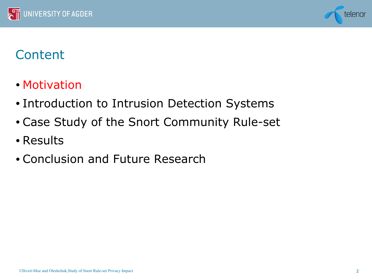



- Motivation
- Introduction to Intrusion Detection Systems
- Case Study of the Snort Community Rule-set
- Results
- Conclusion and Future Research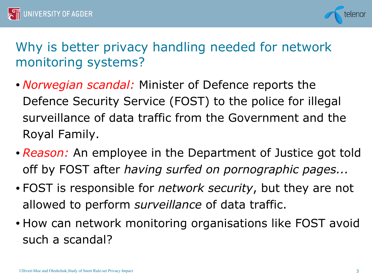



# Why is better privacy handling needed for network monitoring systems?

- *Norwegian scandal:* Minister of Defence reports the Defence Security Service (FOST) to the police for illegal surveillance of data traffic from the Government and the Royal Family.
- *Reason:* An employee in the Department of Justice got told off by FOST after *having surfed on pornographic pages...*
- FOST is responsible for *network security*, but they are not allowed to perform *surveillance* of data traffic.
- How can network monitoring organisations like FOST avoid such a scandal?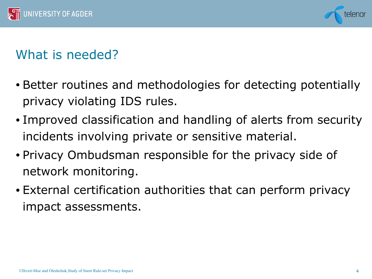



## What is needed?

- Better routines and methodologies for detecting potentially privacy violating IDS rules.
- Improved classification and handling of alerts from security incidents involving private or sensitive material.
- Privacy Ombudsman responsible for the privacy side of network monitoring.
- External certification authorities that can perform privacy impact assessments.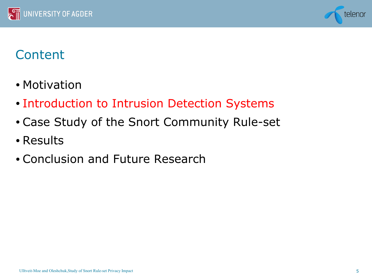



- Motivation
- Introduction to Intrusion Detection Systems
- Case Study of the Snort Community Rule-set
- Results
- Conclusion and Future Research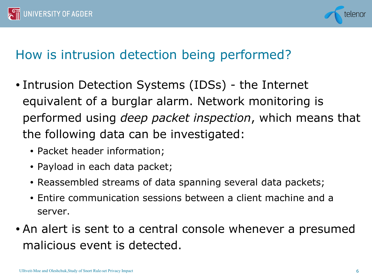



## How is intrusion detection being performed?

- Intrusion Detection Systems (IDSs) the Internet equivalent of a burglar alarm. Network monitoring is performed using *deep packet inspection*, which means that the following data can be investigated:
	- Packet header information;
	- Payload in each data packet;
	- Reassembled streams of data spanning several data packets;
	- Entire communication sessions between a client machine and a server.
- An alert is sent to a central console whenever a presumed malicious event is detected.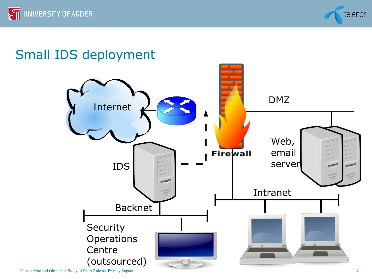

## Small IDS deployment

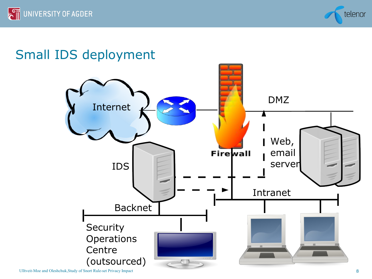

# Small IDS deployment

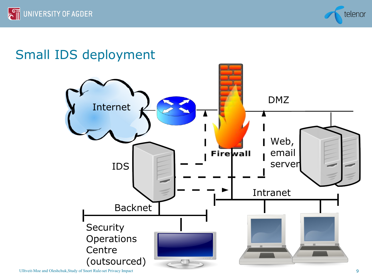

## Small IDS deployment

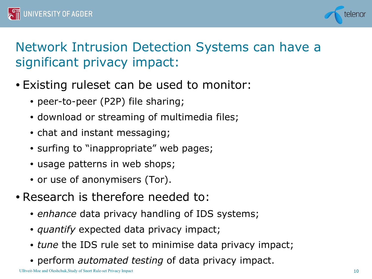



# Network Intrusion Detection Systems can have a significant privacy impact:

- Existing ruleset can be used to monitor:
	- peer-to-peer (P2P) file sharing;
	- download or streaming of multimedia files;
	- chat and instant messaging;
	- surfing to "inappropriate" web pages;
	- usage patterns in web shops;
	- or use of anonymisers (Tor).
- Research is therefore needed to:
	- *enhance* data privacy handling of IDS systems;
	- *quantify* expected data privacy impact;
	- *tune* the IDS rule set to minimise data privacy impact;
	- perform *automated testing* of data privacy impact.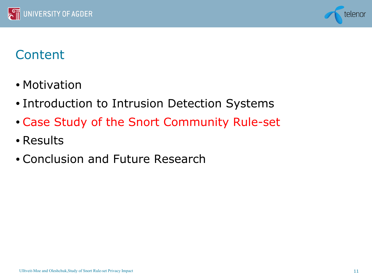



- Motivation
- Introduction to Intrusion Detection Systems
- Case Study of the Snort Community Rule-set
- Results
- Conclusion and Future Research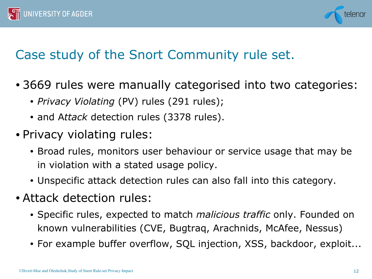



## Case study of the Snort Community rule set.

- 3669 rules were manually categorised into two categories:
	- *Privacy Violating* (PV) rules (291 rules);
	- and A*ttack* detection rules (3378 rules).
- Privacy violating rules:
	- Broad rules, monitors user behaviour or service usage that may be in violation with a stated usage policy.
	- Unspecific attack detection rules can also fall into this category.
- Attack detection rules:
	- Specific rules, expected to match *malicious traffic* only. Founded on known vulnerabilities (CVE, Bugtraq, Arachnids, McAfee, Nessus)
	- For example buffer overflow, SQL injection, XSS, backdoor, exploit...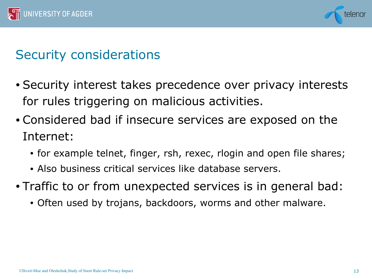



#### Security considerations

- Security interest takes precedence over privacy interests for rules triggering on malicious activities.
- Considered bad if insecure services are exposed on the Internet:
	- for example telnet, finger, rsh, rexec, rlogin and open file shares;
	- Also business critical services like database servers.
- Traffic to or from unexpected services is in general bad:
	- Often used by trojans, backdoors, worms and other malware.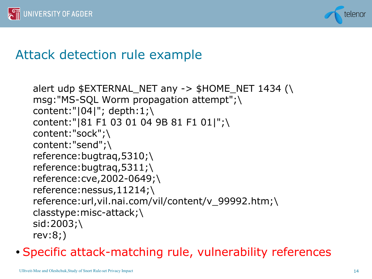



#### Attack detection rule example

```
alert udp $EXTERNAL_NET any -> $HOME_NET 1434 (\
msg:"MS-SQL Worm propagation attempt";\
content:"|04|"; depth:1;\
content:"|81 F1 03 01 04 9B 81 F1 01|";\ 
content:"sock";\ 
content:"send";\ 
reference:bugtraq,5310;\ 
reference:bugtraq,5311;\ 
reference:cve,2002-0649;\ 
reference:nessus,11214;\ 
reference:url,vil.nai.com/vil/content/v_99992.htm;\ 
classtype:misc-attack;\ 
sid:2003;\ 
rev:8;)
```
• Specific attack-matching rule, vulnerability references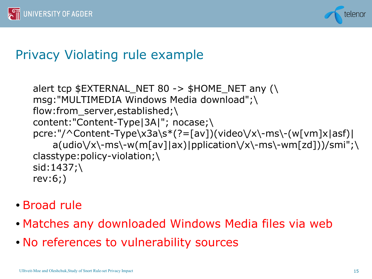



#### Privacy Violating rule example

```
alert tcp $EXTERNAL_NET 80 -> $HOME_NET any (\
msg:"MULTIMEDIA Windows Media download";\
flow:from server, established;\
content:"Content-Type|3A|"; nocase;\
pcre:"/^Content-Type\x3a\s*(?=[av])(video\/x\-ms\-(w[vm]x|asf)|
     a(udio\/x\-ms\-w(m[av]|ax)|pplication\/x\-ms\-wm[zd]))/smi";\ 
classtype:policy-violation;\ 
sid:1437;\ 
rev:6;)
```
- Broad rule
- Matches any downloaded Windows Media files via web
- No references to vulnerability sources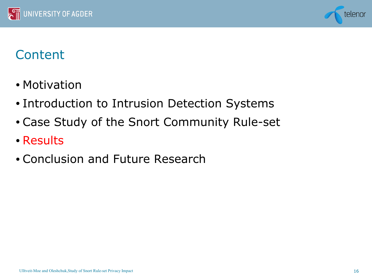



- Motivation
- Introduction to Intrusion Detection Systems
- Case Study of the Snort Community Rule-set
- Results
- Conclusion and Future Research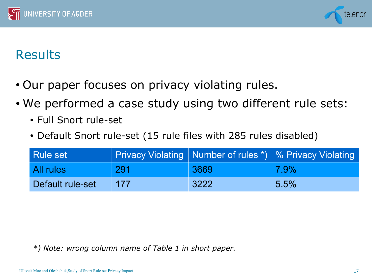



### **Results**

- Our paper focuses on privacy violating rules.
- We performed a case study using two different rule sets:
	- Full Snort rule-set
	- Default Snort rule-set (15 rule files with 285 rules disabled)

| <b>Rule set</b>  |     |      | Privacy Violating   Number of rules *)   % Privacy Violating |
|------------------|-----|------|--------------------------------------------------------------|
| All rules        | 291 | 3669 | $\sqrt{7.9\%}$                                               |
| Default rule-set | 177 | 3222 | 5.5%                                                         |

*\*) Note: wrong column name of Table 1 in short paper.*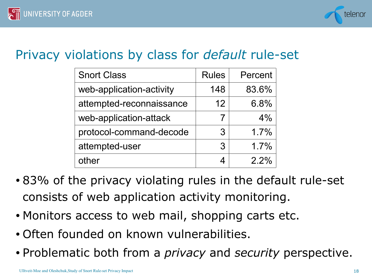

#### Privacy violations by class for *default* rule-set

| <b>Snort Class</b>       | <b>Rules</b> | Percent |
|--------------------------|--------------|---------|
| web-application-activity | 148          | 83.6%   |
| attempted-reconnaissance | 12           | 6.8%    |
| web-application-attack   | 7            | 4%      |
| protocol-command-decode  | 3            | 1.7%    |
| attempted-user           | 3            | 1.7%    |
| other                    | 4            | 2.2%    |

- 83% of the privacy violating rules in the default rule-set consists of web application activity monitoring.
- Monitors access to web mail, shopping carts etc.
- Often founded on known vulnerabilities.
- Problematic both from a *privacy* and *security* perspective.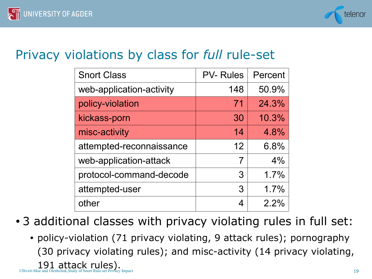

#### Privacy violations by class for *full* rule-set

| <b>Snort Class</b>       | <b>PV-Rules</b> | Percent |
|--------------------------|-----------------|---------|
| web-application-activity | 148             | 50.9%   |
| policy-violation         | 71              | 24.3%   |
| kickass-porn             | 30              | 10.3%   |
| misc-activity            | 14              | 4.8%    |
| attempted-reconnaissance | 12              | 6.8%    |
| web-application-attack   | 7               | 4%      |
| protocol-command-decode  | 3               | 1.7%    |
| attempted-user           | 3               | 1.7%    |
| other                    | 4               | 2.2%    |

- 3 additional classes with privacy violating rules in full set:
	- $191$  attack rules).<br>Ulltveit-Moe and Oleshchuk,Study of Snort Rule-set Privacy Impact 19 • policy-violation (71 privacy violating, 9 attack rules); pornography (30 privacy violating rules); and misc-activity (14 privacy violating,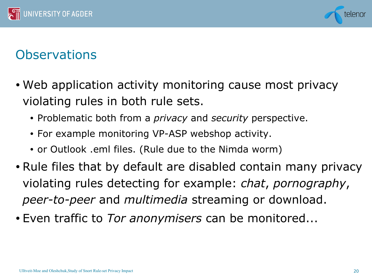



#### **Observations**

- Web application activity monitoring cause most privacy violating rules in both rule sets.
	- Problematic both from a *privacy* and *security* perspective.
	- For example monitoring VP-ASP webshop activity.
	- or Outlook .eml files. (Rule due to the Nimda worm)
- Rule files that by default are disabled contain many privacy violating rules detecting for example: *chat*, *pornography*, *peer-to-peer* and *multimedia* streaming or download.
- Even traffic to *Tor anonymisers* can be monitored...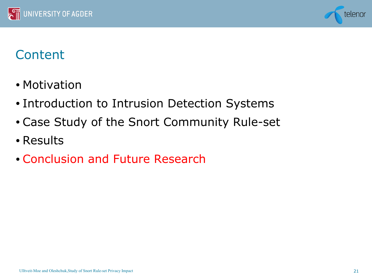



- Motivation
- Introduction to Intrusion Detection Systems
- Case Study of the Snort Community Rule-set
- Results
- Conclusion and Future Research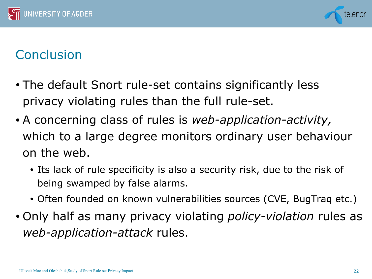



## **Conclusion**

- The default Snort rule-set contains significantly less privacy violating rules than the full rule-set.
- A concerning class of rules is *web-application-activity,* which to a large degree monitors ordinary user behaviour on the web.
	- Its lack of rule specificity is also a security risk, due to the risk of being swamped by false alarms.
	- Often founded on known vulnerabilities sources (CVE, BugTraq etc.)
- Only half as many privacy violating *policy-violation* rules as *web-application-attack* rules.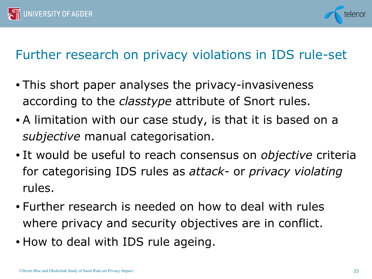



## Further research on privacy violations in IDS rule-set

- This short paper analyses the privacy-invasiveness according to the *classtype* attribute of Snort rules.
- A limitation with our case study, is that it is based on a *subjective* manual categorisation.
- It would be useful to reach consensus on *objective* criteria for categorising IDS rules as *attack-* or *privacy violating* rules.
- Further research is needed on how to deal with rules where privacy and security objectives are in conflict.
- How to deal with IDS rule ageing.